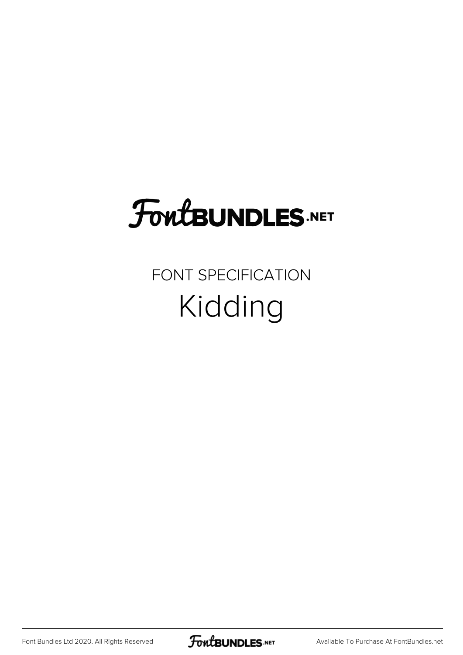## FoutBUNDLES.NET

#### FONT SPECIFICATION Kidding

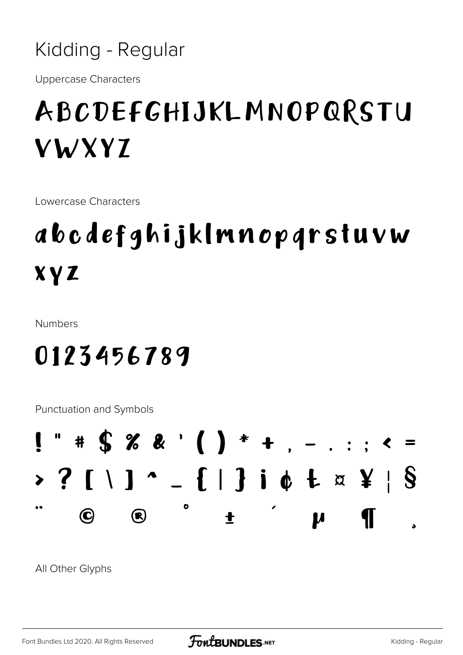

**Uppercase Characters** 

#### ABCDEFGHIJKLMNOPQRSTU **VWXYZ**

Lowercase Characters

### abcdefghijklmnopgrstuvw **XYZ**

**Numbers** 

#### 0123456789

**Punctuation and Symbols** 



All Other Glyphs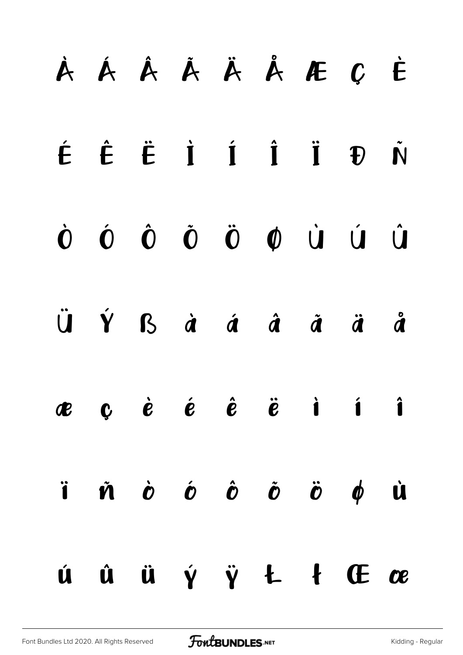# À Á Â Ã Ä Å Æ Ç È É Ê Ë Ì Í Î Ï Ð Ñ Ò Ó Ô Õ Ö Ø Ù Ú Û Ü Ý ß à á â ã ä å æ ç è é ê ë ì í î ï ñ ò ó ô õ ö ø ù ú û ü ý ÿ Ł ł Œ œ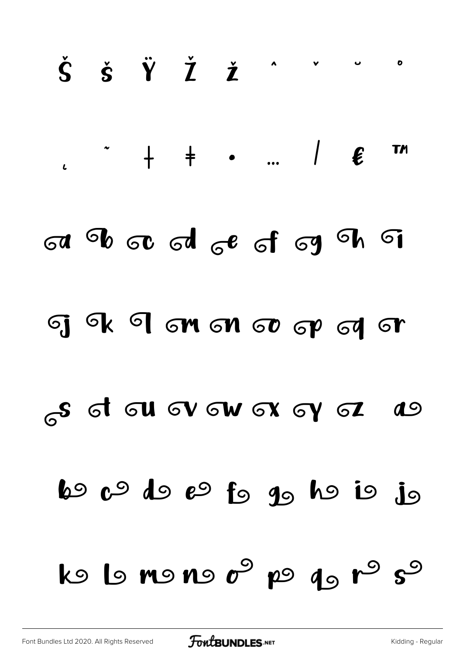# $\check{\mathsf{S}}$   $\check{\mathsf{s}}$   $\check{\mathsf{Y}}$   $\check{\mathsf{Z}}$   $\check{\mathsf{Z}}$   $\check{\mathsf{Z}}$  $\bullet$  $\rightarrow$  + +  $\rightarrow$  ... |  $\epsilon$ **TM** a b a d c f g h s GIGK IGM GNG OG GYGT s d au ov aw ox oy az  $\boldsymbol{d}$ 60 c<sup>9</sup> do e<sup>9</sup> fo go ho io jo  $k$  ls no no  $c^{\circ}$  po q<sub>o</sub>  $r^{\circ}$  s<sup>o</sup>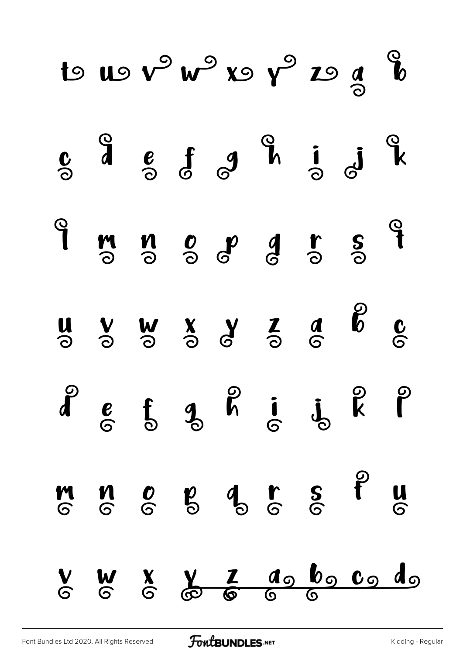|  |  | $S_{o}$ a $S_{o}$ f $S_{o}$ a i $J_{o}$ i $K_{o}$                                                                                                                                                                                                                                                                                                                                                                                     |  |  |
|--|--|---------------------------------------------------------------------------------------------------------------------------------------------------------------------------------------------------------------------------------------------------------------------------------------------------------------------------------------------------------------------------------------------------------------------------------------|--|--|
|  |  | 9 m n o p d r s 9                                                                                                                                                                                                                                                                                                                                                                                                                     |  |  |
|  |  | $\begin{array}{ccccccccc} u & v & w & x & y & z & a & b & c \\ \odot & \odot & \odot & \odot & \odot & \odot & \odot & \odot & \odot \end{array}$                                                                                                                                                                                                                                                                                     |  |  |
|  |  | $\begin{array}{ccccccccc}\n\mathbf{a} & \mathbf{b} & \mathbf{c} & \mathbf{c} & \mathbf{c} & \mathbf{c} & \mathbf{c} & \mathbf{c}\n\end{array}$                                                                                                                                                                                                                                                                                        |  |  |
|  |  | $\begin{array}{cccccccccccccc} \mathsf{M} & \mathsf{M} & \mathsf{M} & \mathsf{M} & \mathsf{M} & \mathsf{M} & \mathsf{M} & \mathsf{M} & \mathsf{M} & \mathsf{M} & \mathsf{M} & \mathsf{M} & \mathsf{M} & \mathsf{M} & \mathsf{M} & \mathsf{M} & \mathsf{M} & \mathsf{M} & \mathsf{M} & \mathsf{M} & \mathsf{M} & \mathsf{M} & \mathsf{M} & \mathsf{M} & \mathsf{M} & \mathsf{M} & \mathsf{M} & \mathsf{M} & \mathsf{M} & \mathsf{M} &$ |  |  |
|  |  | V W X V Z do bo co do                                                                                                                                                                                                                                                                                                                                                                                                                 |  |  |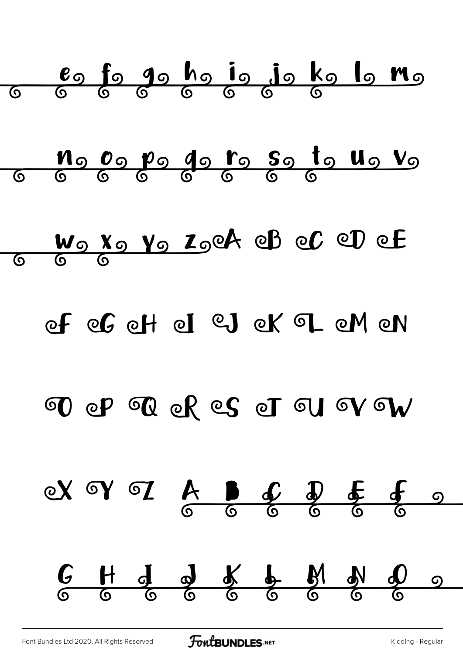

[Font Bundles Ltd 2020. All Rights Reserved](https://fontbundles.net/) **FoutBUNDLES.NET** [Kidding - Regular](https://fontbundles.net/)